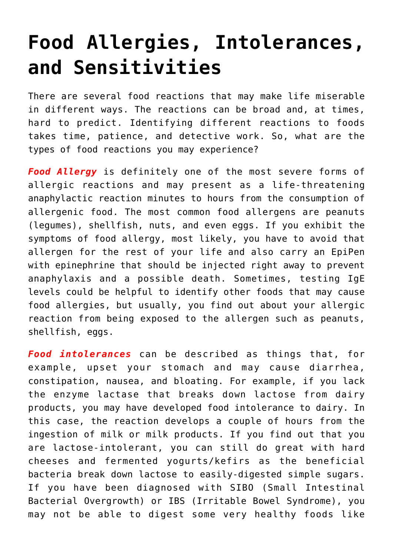## **[Food Allergies, Intolerances,](https://sproutshealth.com/food-allergies-intolerances-and-sensitivities/) [and Sensitivities](https://sproutshealth.com/food-allergies-intolerances-and-sensitivities/)**

There are several food reactions that may make life miserable in different ways. The reactions can be broad and, at times, hard to predict. Identifying different reactions to foods takes time, patience, and detective work. So, what are the types of food reactions you may experience?

*Food Allergy* is definitely one of the most severe forms of allergic reactions and may present as a life-threatening anaphylactic reaction minutes to hours from the consumption of allergenic food. The most common food allergens are peanuts (legumes), shellfish, nuts, and even eggs. If you exhibit the symptoms of food allergy, most likely, you have to avoid that allergen for the rest of your life and also carry an EpiPen with epinephrine that should be injected right away to prevent anaphylaxis and a possible death. Sometimes, testing IgE levels could be helpful to identify other foods that may cause food allergies, but usually, you find out about your allergic reaction from being exposed to the allergen such as peanuts, shellfish, eggs.

*Food intolerances* can be described as things that, for example, upset your stomach and may cause diarrhea, constipation, nausea, and bloating. For example, if you lack the enzyme lactase that breaks down lactose from dairy products, you may have developed food intolerance to dairy. In this case, the reaction develops a couple of hours from the ingestion of milk or milk products. If you find out that you are lactose-intolerant, you can still do great with hard cheeses and fermented yogurts/kefirs as the beneficial bacteria break down lactose to easily-digested simple sugars. If you have been diagnosed with SIBO (Small Intestinal Bacterial Overgrowth) or IBS (Irritable Bowel Syndrome), you may not be able to digest some very healthy foods like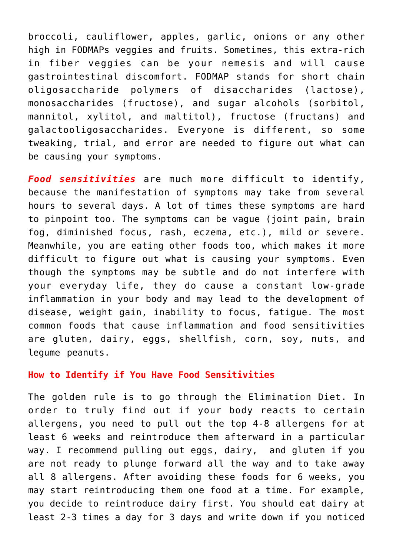broccoli, cauliflower, apples, garlic, onions or any other high in FODMAPs veggies and fruits. Sometimes, this extra-rich in fiber veggies can be your nemesis and will cause gastrointestinal discomfort. FODMAP stands for short chain oligosaccharide polymers of disaccharides (lactose), monosaccharides (fructose), and sugar alcohols (sorbitol, mannitol, xylitol, and maltitol), fructose (fructans) and galactooligosaccharides. Everyone is different, so some tweaking, trial, and error are needed to figure out what can be causing your symptoms.

*Food sensitivities* are much more difficult to identify, because the manifestation of symptoms may take from several hours to several days. A lot of times these symptoms are hard to pinpoint too. The symptoms can be vague (joint pain, brain fog, diminished focus, rash, eczema, etc.), mild or severe. Meanwhile, you are eating other foods too, which makes it more difficult to figure out what is causing your symptoms. Even though the symptoms may be subtle and do not interfere with your everyday life, they do cause a constant low-grade inflammation in your body and may lead to the development of disease, weight gain, inability to focus, fatigue. The most common foods that cause inflammation and food sensitivities are gluten, dairy, eggs, shellfish, corn, soy, nuts, and legume peanuts.

## **How to Identify if You Have Food Sensitivities**

The golden rule is to go through the Elimination Diet. In order to truly find out if your body reacts to certain allergens, you need to pull out the top 4-8 allergens for at least 6 weeks and reintroduce them afterward in a particular way. I recommend pulling out eggs, dairy, and gluten if you are not ready to plunge forward all the way and to take away all 8 allergens. After avoiding these foods for 6 weeks, you may start reintroducing them one food at a time. For example, you decide to reintroduce dairy first. You should eat dairy at least 2-3 times a day for 3 days and write down if you noticed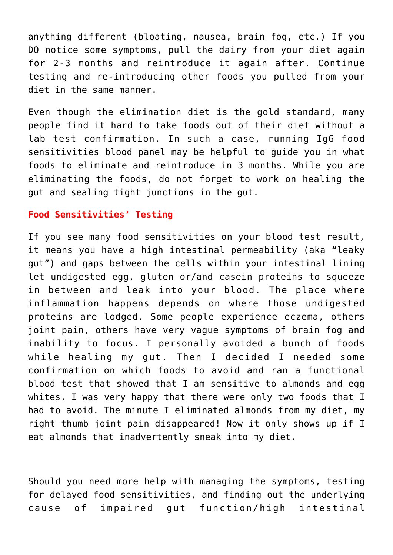anything different (bloating, nausea, brain fog, etc.) If you DO notice some symptoms, pull the dairy from your diet again for 2-3 months and reintroduce it again after. Continue testing and re-introducing other foods you pulled from your diet in the same manner.

Even though the elimination diet is the gold standard, many people find it hard to take foods out of their diet without a lab test confirmation. In such a case, running IgG food sensitivities blood panel may be helpful to guide you in what foods to eliminate and reintroduce in 3 months. While you are eliminating the foods, do not forget to work on healing the gut and sealing tight junctions in the gut.

## **Food Sensitivities' Testing**

If you see many food sensitivities on your blood test result, it means you have a high intestinal permeability (aka "leaky gut") and gaps between the cells within your intestinal lining let undigested egg, gluten or/and casein proteins to squeeze in between and leak into your blood. The place where inflammation happens depends on where those undigested proteins are lodged. Some people experience eczema, others joint pain, others have very vague symptoms of brain fog and inability to focus. I personally avoided a bunch of foods while healing my gut. Then I decided I needed some confirmation on which foods to avoid and ran a functional blood test that showed that I am sensitive to almonds and egg whites. I was very happy that there were only two foods that I had to avoid. The minute I eliminated almonds from my diet, my right thumb joint pain disappeared! Now it only shows up if I eat almonds that inadvertently sneak into my diet.

Should you need more help with managing the symptoms, testing for delayed food sensitivities, and finding out the underlying cause of impaired gut function/high intestinal